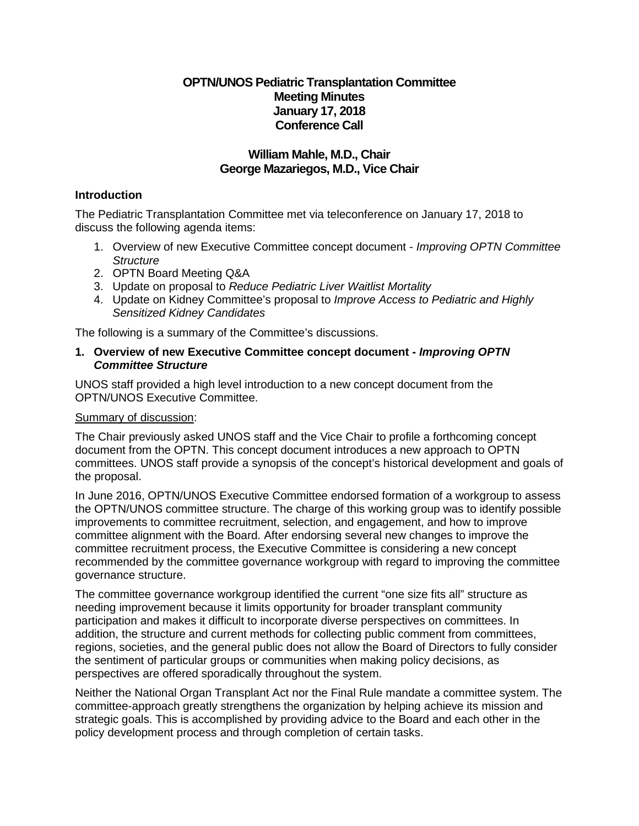# **OPTN/UNOS Pediatric Transplantation Committee Meeting Minutes January 17, 2018 Conference Call**

## **William Mahle, M.D., Chair George Mazariegos, M.D., Vice Chair**

### **Introduction**

The Pediatric Transplantation Committee met via teleconference on January 17, 2018 to discuss the following agenda items:

- 1. Overview of new Executive Committee concept document *Improving OPTN Committee Structure*
- 2. OPTN Board Meeting Q&A
- 3. Update on proposal to *Reduce Pediatric Liver Waitlist Mortality*
- 4. Update on Kidney Committee's proposal to *Improve Access to Pediatric and Highly Sensitized Kidney Candidates*

The following is a summary of the Committee's discussions.

#### **1. Overview of new Executive Committee concept document -** *Improving OPTN Committee Structure*

UNOS staff provided a high level introduction to a new concept document from the OPTN/UNOS Executive Committee.

#### Summary of discussion:

The Chair previously asked UNOS staff and the Vice Chair to profile a forthcoming concept document from the OPTN. This concept document introduces a new approach to OPTN committees. UNOS staff provide a synopsis of the concept's historical development and goals of the proposal.

In June 2016, OPTN/UNOS Executive Committee endorsed formation of a workgroup to assess the OPTN/UNOS committee structure. The charge of this working group was to identify possible improvements to committee recruitment, selection, and engagement, and how to improve committee alignment with the Board. After endorsing several new changes to improve the committee recruitment process, the Executive Committee is considering a new concept recommended by the committee governance workgroup with regard to improving the committee governance structure.

The committee governance workgroup identified the current "one size fits all" structure as needing improvement because it limits opportunity for broader transplant community participation and makes it difficult to incorporate diverse perspectives on committees. In addition, the structure and current methods for collecting public comment from committees, regions, societies, and the general public does not allow the Board of Directors to fully consider the sentiment of particular groups or communities when making policy decisions, as perspectives are offered sporadically throughout the system.

Neither the National Organ Transplant Act nor the Final Rule mandate a committee system. The committee-approach greatly strengthens the organization by helping achieve its mission and strategic goals. This is accomplished by providing advice to the Board and each other in the policy development process and through completion of certain tasks.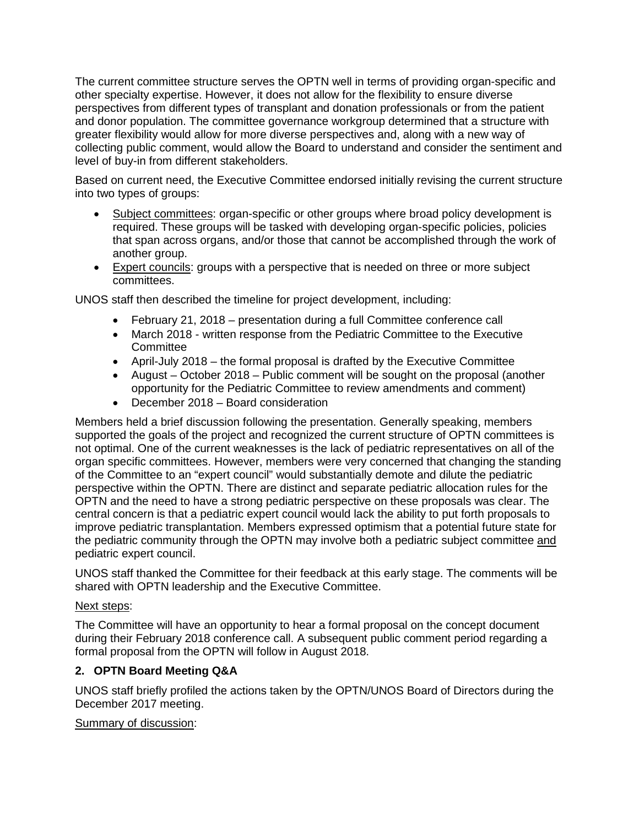The current committee structure serves the OPTN well in terms of providing organ-specific and other specialty expertise. However, it does not allow for the flexibility to ensure diverse perspectives from different types of transplant and donation professionals or from the patient and donor population. The committee governance workgroup determined that a structure with greater flexibility would allow for more diverse perspectives and, along with a new way of collecting public comment, would allow the Board to understand and consider the sentiment and level of buy-in from different stakeholders.

Based on current need, the Executive Committee endorsed initially revising the current structure into two types of groups:

- Subject committees: organ-specific or other groups where broad policy development is required. These groups will be tasked with developing organ-specific policies, policies that span across organs, and/or those that cannot be accomplished through the work of another group.
- Expert councils: groups with a perspective that is needed on three or more subject committees.

UNOS staff then described the timeline for project development, including:

- February 21, 2018 presentation during a full Committee conference call
- March 2018 written response from the Pediatric Committee to the Executive **Committee**
- April-July 2018 the formal proposal is drafted by the Executive Committee
- August October 2018 Public comment will be sought on the proposal (another opportunity for the Pediatric Committee to review amendments and comment)
- December 2018 Board consideration

Members held a brief discussion following the presentation. Generally speaking, members supported the goals of the project and recognized the current structure of OPTN committees is not optimal. One of the current weaknesses is the lack of pediatric representatives on all of the organ specific committees. However, members were very concerned that changing the standing of the Committee to an "expert council" would substantially demote and dilute the pediatric perspective within the OPTN. There are distinct and separate pediatric allocation rules for the OPTN and the need to have a strong pediatric perspective on these proposals was clear. The central concern is that a pediatric expert council would lack the ability to put forth proposals to improve pediatric transplantation. Members expressed optimism that a potential future state for the pediatric community through the OPTN may involve both a pediatric subject committee and pediatric expert council.

UNOS staff thanked the Committee for their feedback at this early stage. The comments will be shared with OPTN leadership and the Executive Committee.

## Next steps:

The Committee will have an opportunity to hear a formal proposal on the concept document during their February 2018 conference call. A subsequent public comment period regarding a formal proposal from the OPTN will follow in August 2018.

# **2. OPTN Board Meeting Q&A**

UNOS staff briefly profiled the actions taken by the OPTN/UNOS Board of Directors during the December 2017 meeting.

## Summary of discussion: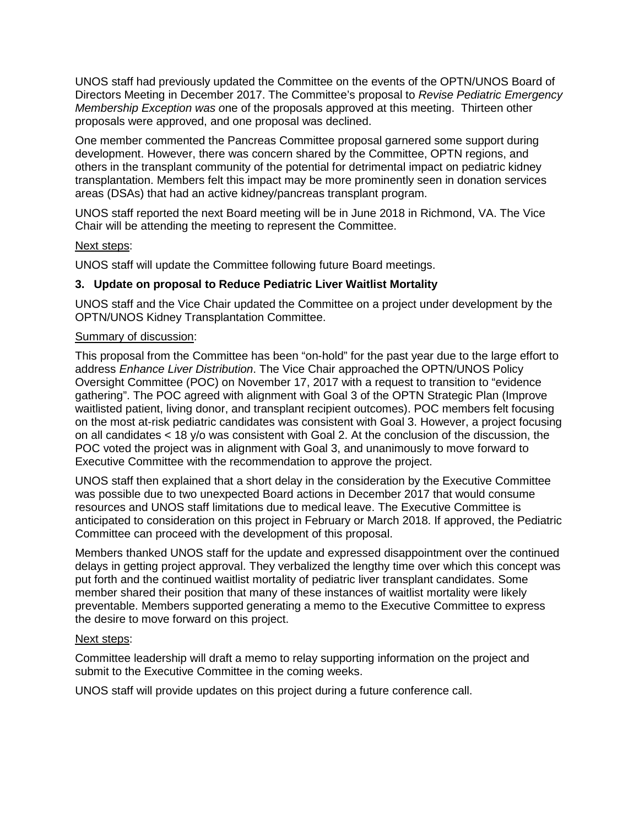UNOS staff had previously updated the Committee on the events of the OPTN/UNOS Board of Directors Meeting in December 2017. The Committee's proposal to *Revise Pediatric Emergency Membership Exception was o*ne of the proposals approved at this meeting. Thirteen other proposals were approved, and one proposal was declined.

One member commented the Pancreas Committee proposal garnered some support during development. However, there was concern shared by the Committee, OPTN regions, and others in the transplant community of the potential for detrimental impact on pediatric kidney transplantation. Members felt this impact may be more prominently seen in donation services areas (DSAs) that had an active kidney/pancreas transplant program.

UNOS staff reported the next Board meeting will be in June 2018 in Richmond, VA. The Vice Chair will be attending the meeting to represent the Committee.

### Next steps:

UNOS staff will update the Committee following future Board meetings.

### **3. Update on proposal to Reduce Pediatric Liver Waitlist Mortality**

UNOS staff and the Vice Chair updated the Committee on a project under development by the OPTN/UNOS Kidney Transplantation Committee.

#### Summary of discussion:

This proposal from the Committee has been "on-hold" for the past year due to the large effort to address *Enhance Liver Distribution*. The Vice Chair approached the OPTN/UNOS Policy Oversight Committee (POC) on November 17, 2017 with a request to transition to "evidence gathering". The POC agreed with alignment with Goal 3 of the OPTN Strategic Plan (Improve waitlisted patient, living donor, and transplant recipient outcomes). POC members felt focusing on the most at-risk pediatric candidates was consistent with Goal 3. However, a project focusing on all candidates < 18 y/o was consistent with Goal 2. At the conclusion of the discussion, the POC voted the project was in alignment with Goal 3, and unanimously to move forward to Executive Committee with the recommendation to approve the project.

UNOS staff then explained that a short delay in the consideration by the Executive Committee was possible due to two unexpected Board actions in December 2017 that would consume resources and UNOS staff limitations due to medical leave. The Executive Committee is anticipated to consideration on this project in February or March 2018. If approved, the Pediatric Committee can proceed with the development of this proposal.

Members thanked UNOS staff for the update and expressed disappointment over the continued delays in getting project approval. They verbalized the lengthy time over which this concept was put forth and the continued waitlist mortality of pediatric liver transplant candidates. Some member shared their position that many of these instances of waitlist mortality were likely preventable. Members supported generating a memo to the Executive Committee to express the desire to move forward on this project.

#### Next steps:

Committee leadership will draft a memo to relay supporting information on the project and submit to the Executive Committee in the coming weeks.

UNOS staff will provide updates on this project during a future conference call.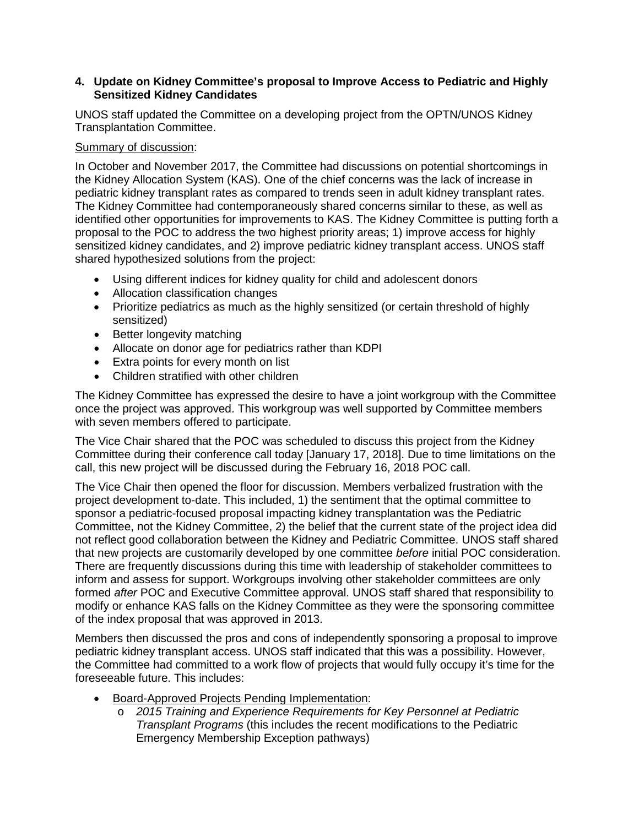## **4. Update on Kidney Committee's proposal to Improve Access to Pediatric and Highly Sensitized Kidney Candidates**

UNOS staff updated the Committee on a developing project from the OPTN/UNOS Kidney Transplantation Committee.

## Summary of discussion:

In October and November 2017, the Committee had discussions on potential shortcomings in the Kidney Allocation System (KAS). One of the chief concerns was the lack of increase in pediatric kidney transplant rates as compared to trends seen in adult kidney transplant rates. The Kidney Committee had contemporaneously shared concerns similar to these, as well as identified other opportunities for improvements to KAS. The Kidney Committee is putting forth a proposal to the POC to address the two highest priority areas; 1) improve access for highly sensitized kidney candidates, and 2) improve pediatric kidney transplant access. UNOS staff shared hypothesized solutions from the project:

- Using different indices for kidney quality for child and adolescent donors
- Allocation classification changes
- Prioritize pediatrics as much as the highly sensitized (or certain threshold of highly sensitized)
- Better longevity matching
- Allocate on donor age for pediatrics rather than KDPI
- Extra points for every month on list
- Children stratified with other children

The Kidney Committee has expressed the desire to have a joint workgroup with the Committee once the project was approved. This workgroup was well supported by Committee members with seven members offered to participate.

The Vice Chair shared that the POC was scheduled to discuss this project from the Kidney Committee during their conference call today [January 17, 2018]. Due to time limitations on the call, this new project will be discussed during the February 16, 2018 POC call.

The Vice Chair then opened the floor for discussion. Members verbalized frustration with the project development to-date. This included, 1) the sentiment that the optimal committee to sponsor a pediatric-focused proposal impacting kidney transplantation was the Pediatric Committee, not the Kidney Committee, 2) the belief that the current state of the project idea did not reflect good collaboration between the Kidney and Pediatric Committee. UNOS staff shared that new projects are customarily developed by one committee *before* initial POC consideration. There are frequently discussions during this time with leadership of stakeholder committees to inform and assess for support. Workgroups involving other stakeholder committees are only formed *after* POC and Executive Committee approval. UNOS staff shared that responsibility to modify or enhance KAS falls on the Kidney Committee as they were the sponsoring committee of the index proposal that was approved in 2013.

Members then discussed the pros and cons of independently sponsoring a proposal to improve pediatric kidney transplant access. UNOS staff indicated that this was a possibility. However, the Committee had committed to a work flow of projects that would fully occupy it's time for the foreseeable future. This includes:

- Board-Approved Projects Pending Implementation:
	- o *2015 Training and Experience Requirements for Key Personnel at Pediatric Transplant Programs* (this includes the recent modifications to the Pediatric Emergency Membership Exception pathways)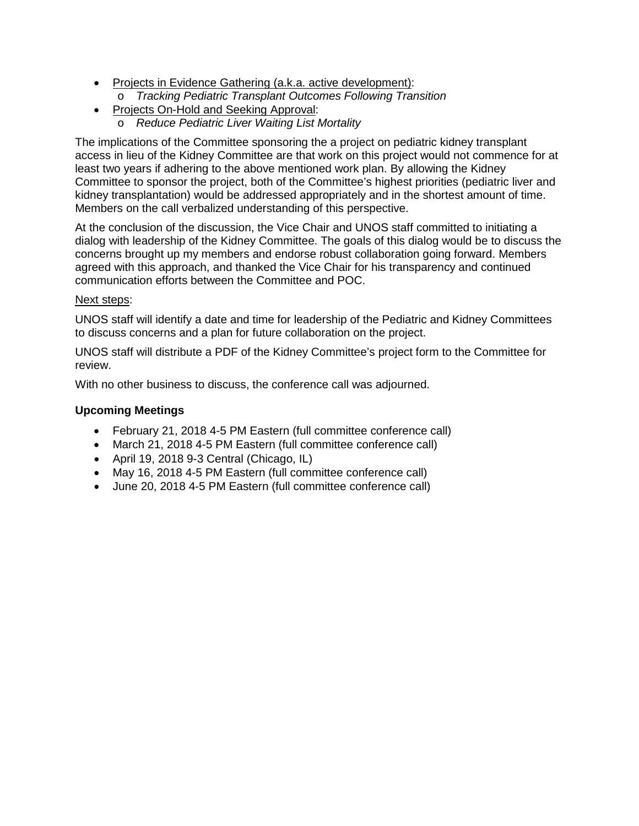- Projects in Evidence Gathering (a.k.a. active development):
	- o *Tracking Pediatric Transplant Outcomes Following Transition*
- Projects On-Hold and Seeking Approval:
	- o *Reduce Pediatric Liver Waiting List Mortality*

The implications of the Committee sponsoring the a project on pediatric kidney transplant access in lieu of the Kidney Committee are that work on this project would not commence for at least two years if adhering to the above mentioned work plan. By allowing the Kidney Committee to sponsor the project, both of the Committee's highest priorities (pediatric liver and kidney transplantation) would be addressed appropriately and in the shortest amount of time. Members on the call verbalized understanding of this perspective.

At the conclusion of the discussion, the Vice Chair and UNOS staff committed to initiating a dialog with leadership of the Kidney Committee. The goals of this dialog would be to discuss the concerns brought up my members and endorse robust collaboration going forward. Members agreed with this approach, and thanked the Vice Chair for his transparency and continued communication efforts between the Committee and POC.

## Next steps:

UNOS staff will identify a date and time for leadership of the Pediatric and Kidney Committees to discuss concerns and a plan for future collaboration on the project.

UNOS staff will distribute a PDF of the Kidney Committee's project form to the Committee for review.

With no other business to discuss, the conference call was adjourned.

# **Upcoming Meetings**

- February 21, 2018 4-5 PM Eastern (full committee conference call)
- March 21, 2018 4-5 PM Eastern (full committee conference call)
- April 19, 2018 9-3 Central (Chicago, IL)
- May 16, 2018 4-5 PM Eastern (full committee conference call)
- June 20, 2018 4-5 PM Eastern (full committee conference call)